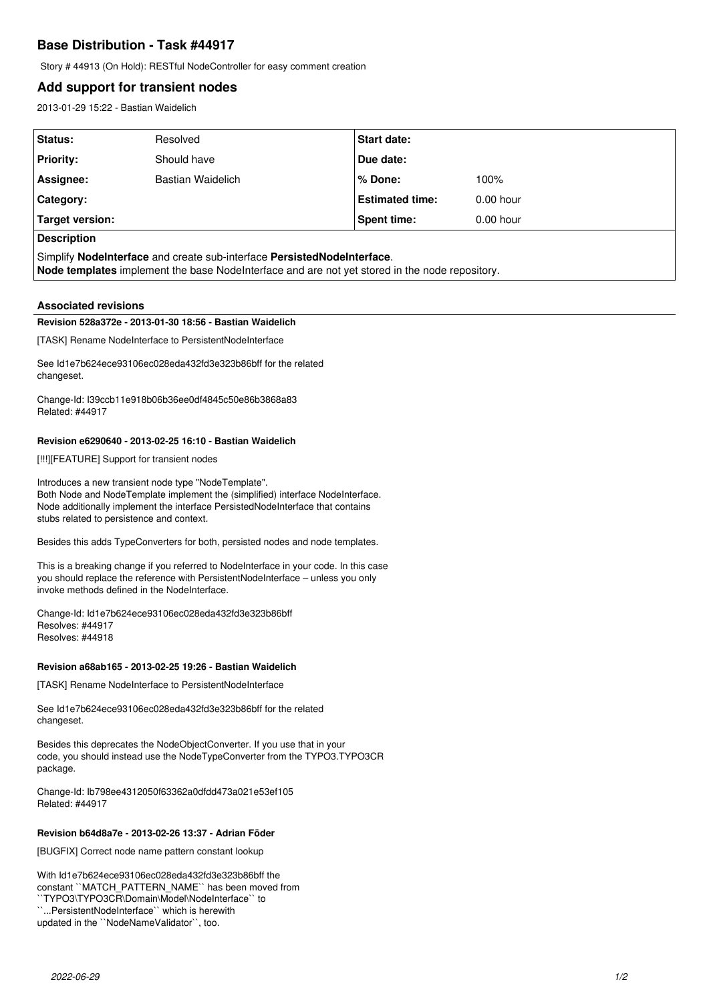# **Base Distribution - Task #44917**

Story # 44913 (On Hold): RESTful NodeController for easy comment creation

# **Add support for transient nodes**

2013-01-29 15:22 - Bastian Waidelich

| Status:                                                                 | Resolved                 | <b>Start date:</b>     |             |  |
|-------------------------------------------------------------------------|--------------------------|------------------------|-------------|--|
| <b>Priority:</b>                                                        | Should have              | Due date:              |             |  |
| Assignee:                                                               | <b>Bastian Waidelich</b> | ∣% Done:               | 100%        |  |
| Category:                                                               |                          | <b>Estimated time:</b> | $0.00$ hour |  |
| Target version:                                                         |                          | Spent time:            | $0.00$ hour |  |
| <b>Description</b>                                                      |                          |                        |             |  |
| Simplify Nodelnterface and create sub-interface PersistedNodelnterface. |                          |                        |             |  |

**Node templates** implement the base NodeInterface and are not yet stored in the node repository.

# **Associated revisions**

# **Revision 528a372e - 2013-01-30 18:56 - Bastian Waidelich**

[TASK] Rename NodeInterface to PersistentNodeInterface

See Id1e7b624ece93106ec028eda432fd3e323b86bff for the related changeset.

Change-Id: I39ccb11e918b06b36ee0df4845c50e86b3868a83 Related: #44917

### **Revision e6290640 - 2013-02-25 16:10 - Bastian Waidelich**

[!!!][FEATURE] Support for transient nodes

Introduces a new transient node type "NodeTemplate". Both Node and NodeTemplate implement the (simplified) interface NodeInterface. Node additionally implement the interface PersistedNodeInterface that contains stubs related to persistence and context.

Besides this adds TypeConverters for both, persisted nodes and node templates.

This is a breaking change if you referred to NodeInterface in your code. In this case you should replace the reference with PersistentNodeInterface – unless you only invoke methods defined in the NodeInterface.

Change-Id: Id1e7b624ece93106ec028eda432fd3e323b86bff Resolves: #44917 Resolves: #44918

#### **Revision a68ab165 - 2013-02-25 19:26 - Bastian Waidelich**

[TASK] Rename NodeInterface to PersistentNodeInterface

See Id1e7b624ece93106ec028eda432fd3e323b86bff for the related changeset.

Besides this deprecates the NodeObjectConverter. If you use that in your code, you should instead use the NodeTypeConverter from the TYPO3.TYPO3CR package.

Change-Id: Ib798ee4312050f63362a0dfdd473a021e53ef105 Related: #44917

# **Revision b64d8a7e - 2013-02-26 13:37 - Adrian Föder**

[BUGFIX] Correct node name pattern constant lookup

With Id1e7b624ece93106ec028eda432fd3e323b86bff the constant ``MATCH\_PATTERN\_NAME`` has been moved from ``TYPO3\TYPO3CR\Domain\Model\NodeInterface`` to ``...PersistentNodeInterface`` which is herewith updated in the ``NodeNameValidator``, too.